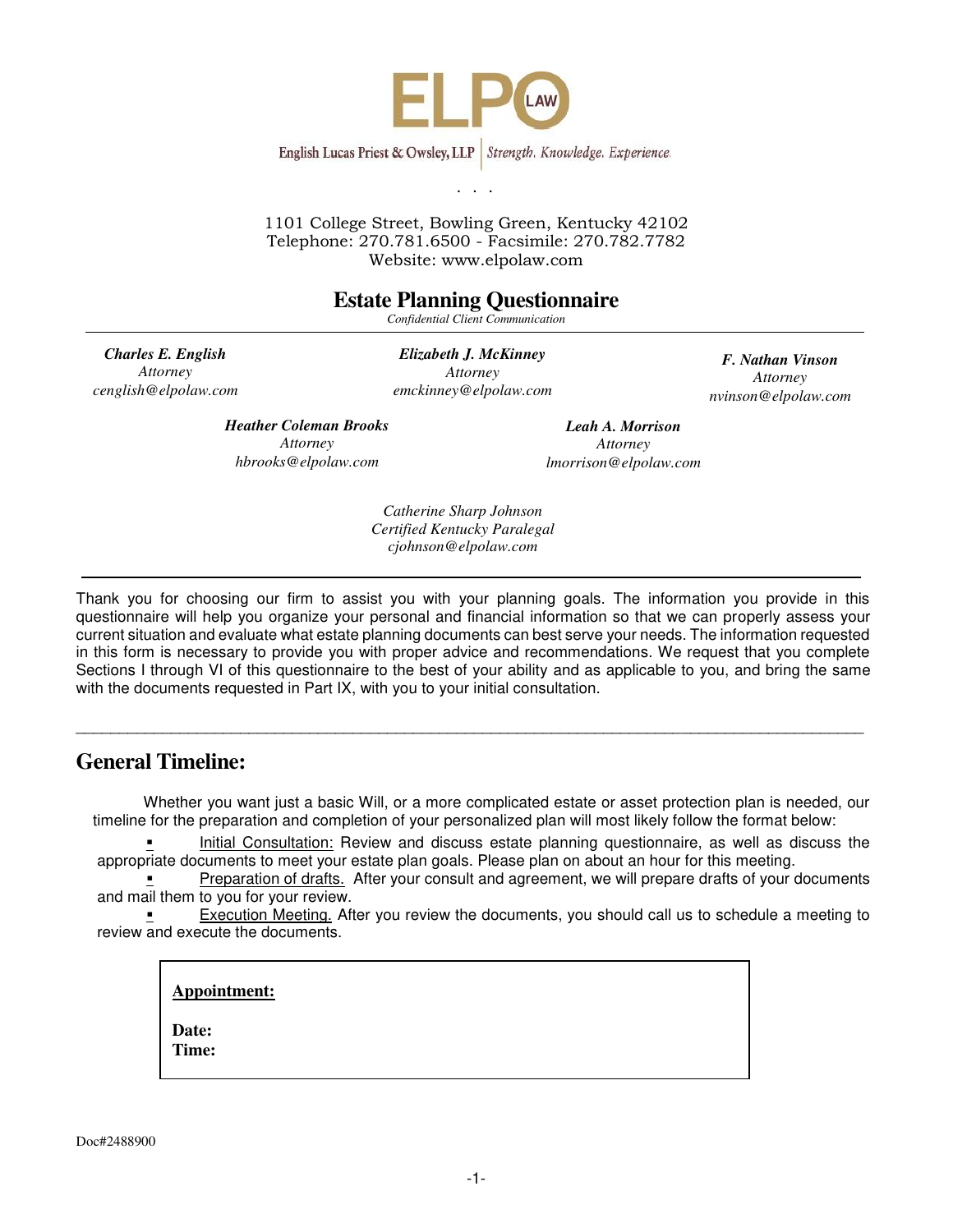

1101 College Street, Bowling Green, Kentucky 42102 Telephone: 270.781.6500 - Facsimile: 270.782.7782 Website: www.elpolaw.com

## **Estate Planning Questionnaire**

*Confidential Client Communication* 

*Charles E. English Attorney cenglish@elpolaw.com* 

*Elizabeth J. McKinney Attorney emckinney@elpolaw.com* 

*F. Nathan Vinson Attorney nvinson@elpolaw.com* 

*Heather Coleman Brooks Attorney hbrooks@elpolaw.com* 

*Leah A. Morrison Attorney lmorrison@elpolaw.com* 

*Catherine Sharp Johnson Certified Kentucky Paralegal cjohnson@elpolaw.com* 

Thank you for choosing our firm to assist you with your planning goals. The information you provide in this questionnaire will help you organize your personal and financial information so that we can properly assess your current situation and evaluate what estate planning documents can best serve your needs. The information requested in this form is necessary to provide you with proper advice and recommendations. We request that you complete Sections I through VI of this questionnaire to the best of your ability and as applicable to you, and bring the same with the documents requested in Part IX, with you to your initial consultation.

 $\overline{a}$  , and the contribution of the contribution of the contribution of the contribution of the contribution of  $\overline{a}$ 

## **General Timeline:**

Whether you want just a basic Will, or a more complicated estate or asset protection plan is needed, our timeline for the preparation and completion of your personalized plan will most likely follow the format below:

 Initial Consultation: Review and discuss estate planning questionnaire, as well as discuss the appropriate documents to meet your estate plan goals. Please plan on about an hour for this meeting.

 Preparation of drafts. After your consult and agreement, we will prepare drafts of your documents and mail them to you for your review.

 Execution Meeting. After you review the documents, you should call us to schedule a meeting to review and execute the documents.

**Appointment:** 

**Date: Time:**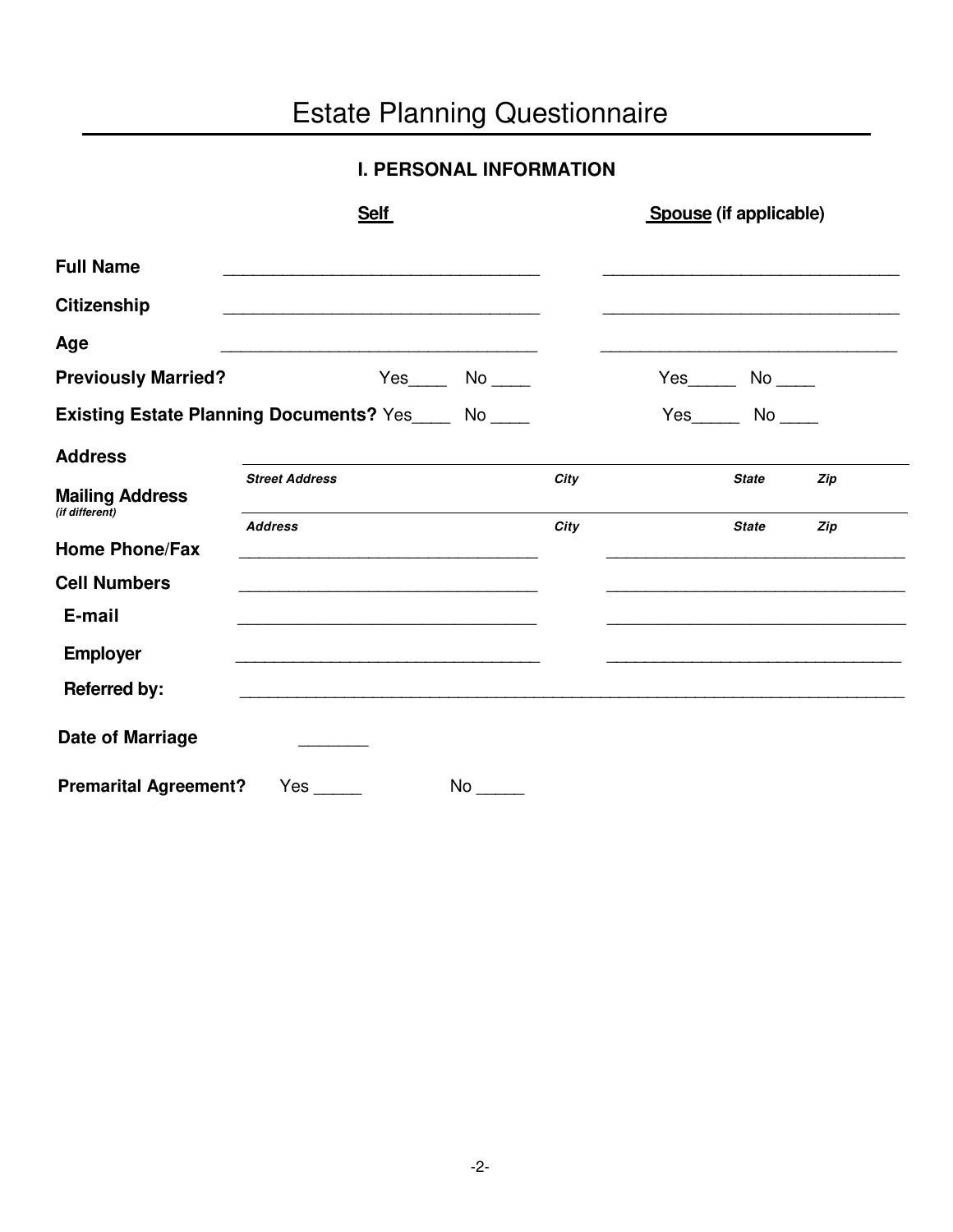# Estate Planning Questionnaire

## **I. PERSONAL INFORMATION**

|                                          | <b>Self</b>                                                 |      | Spouse (if applicable) |              |     |
|------------------------------------------|-------------------------------------------------------------|------|------------------------|--------------|-----|
| <b>Full Name</b>                         |                                                             |      |                        |              |     |
| <b>Citizenship</b>                       |                                                             |      |                        |              |     |
| Age                                      | <u> 1989 - Johann Stoff, amerikansk politiker (d. 1989)</u> |      |                        |              |     |
| <b>Previously Married?</b>               | $Yes$ No _______                                            |      |                        |              |     |
|                                          | Existing Estate Planning Documents? Yes_____ No ____        |      | $Yes$ No $\_\_$        |              |     |
| <b>Address</b>                           |                                                             |      |                        |              |     |
| <b>Mailing Address</b><br>(if different) | <b>Street Address</b>                                       | City |                        | <b>State</b> | Zip |
| <b>Home Phone/Fax</b>                    | <b>Address</b>                                              | City |                        | <b>State</b> | Zip |
| <b>Cell Numbers</b>                      |                                                             |      |                        |              |     |
| E-mail                                   |                                                             |      |                        |              |     |
| <b>Employer</b>                          |                                                             |      |                        |              |     |
| <b>Referred by:</b>                      | <u> 1989 - Johann Stoff, amerikansk politiker (d. 1989)</u> |      |                        |              |     |
| <b>Date of Marriage</b>                  |                                                             |      |                        |              |     |
| <b>Premarital Agreement?</b>             | Yes<br>No                                                   |      |                        |              |     |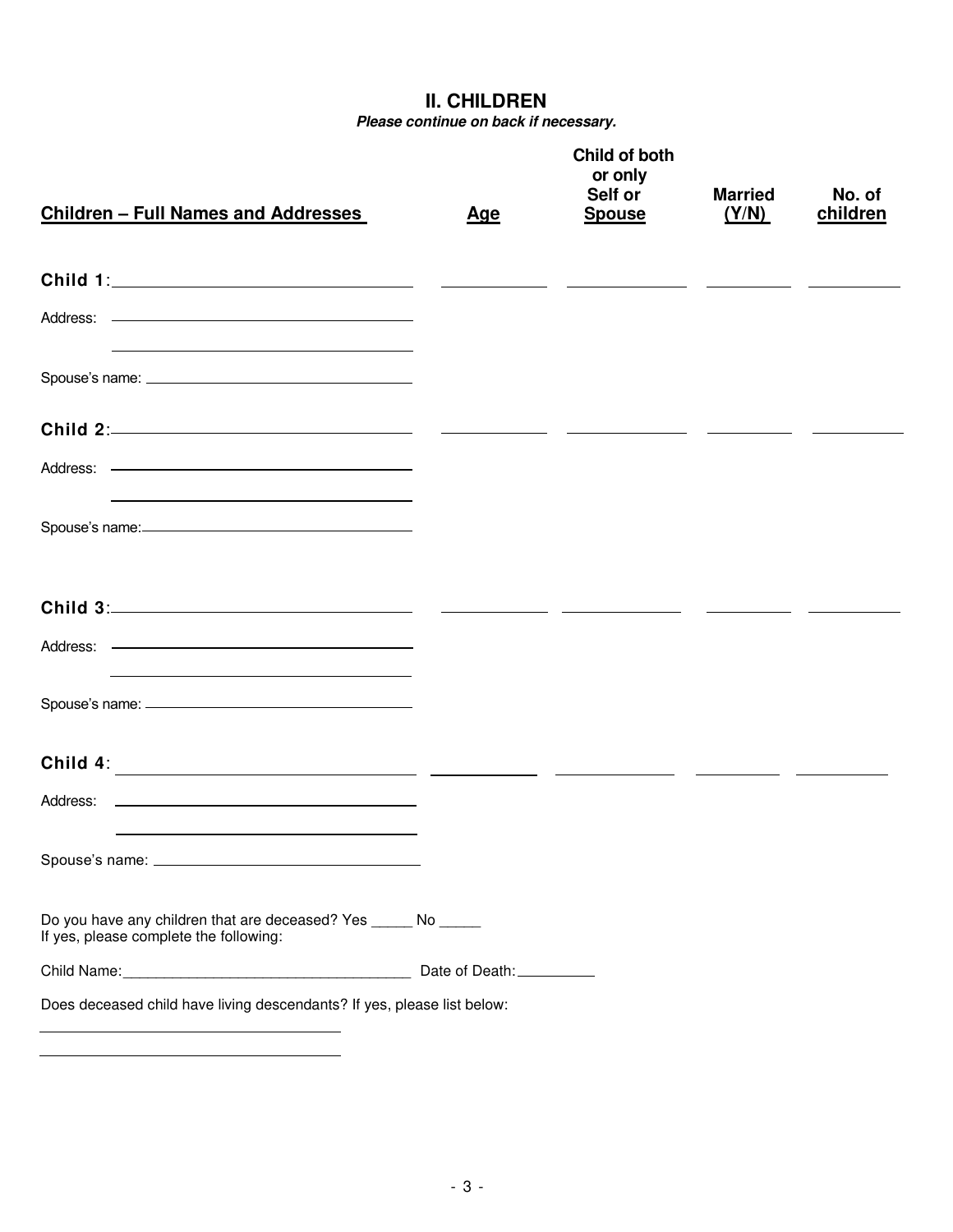**II. CHILDREN** 

*Please continue on back if necessary.* 

| <b>Children - Full Names and Addresses</b>                                                                                                             | <u>Age</u> | Child of both<br>or only<br>Self or<br><b>Spouse</b>                                                                   | <b>Married</b><br>(Y/N) | No. of<br>children |
|--------------------------------------------------------------------------------------------------------------------------------------------------------|------------|------------------------------------------------------------------------------------------------------------------------|-------------------------|--------------------|
|                                                                                                                                                        |            | <u> 1980 - Andrea Barbara, poeta esperanto en la provincia de la provincia de la provincia de la provincia de la p</u> |                         |                    |
| and the control of the control of the control of the control of the control of the control of the control of the                                       |            |                                                                                                                        |                         |                    |
|                                                                                                                                                        |            |                                                                                                                        |                         |                    |
|                                                                                                                                                        |            |                                                                                                                        |                         |                    |
| Address: ———————————————————————<br>and the state of the state of the state of the state of the state of the state of the state of                     |            |                                                                                                                        |                         |                    |
|                                                                                                                                                        |            |                                                                                                                        |                         |                    |
|                                                                                                                                                        |            |                                                                                                                        |                         |                    |
|                                                                                                                                                        |            |                                                                                                                        |                         |                    |
|                                                                                                                                                        |            |                                                                                                                        |                         |                    |
| Child 4:                                                                                                                                               |            |                                                                                                                        |                         |                    |
| Address:<br><u> 1989 - Andrea Stadt Britain, amerikansk politiker (</u>                                                                                |            |                                                                                                                        |                         |                    |
|                                                                                                                                                        |            |                                                                                                                        |                         |                    |
| Do you have any children that are deceased? Yes ______ No ______<br>If yes, please complete the following:                                             |            |                                                                                                                        |                         |                    |
|                                                                                                                                                        |            |                                                                                                                        |                         |                    |
| Does deceased child have living descendants? If yes, please list below:<br><u> 1989 - Johann Stein, mars an deus an deus Amerikaansk kommunister (</u> |            |                                                                                                                        |                         |                    |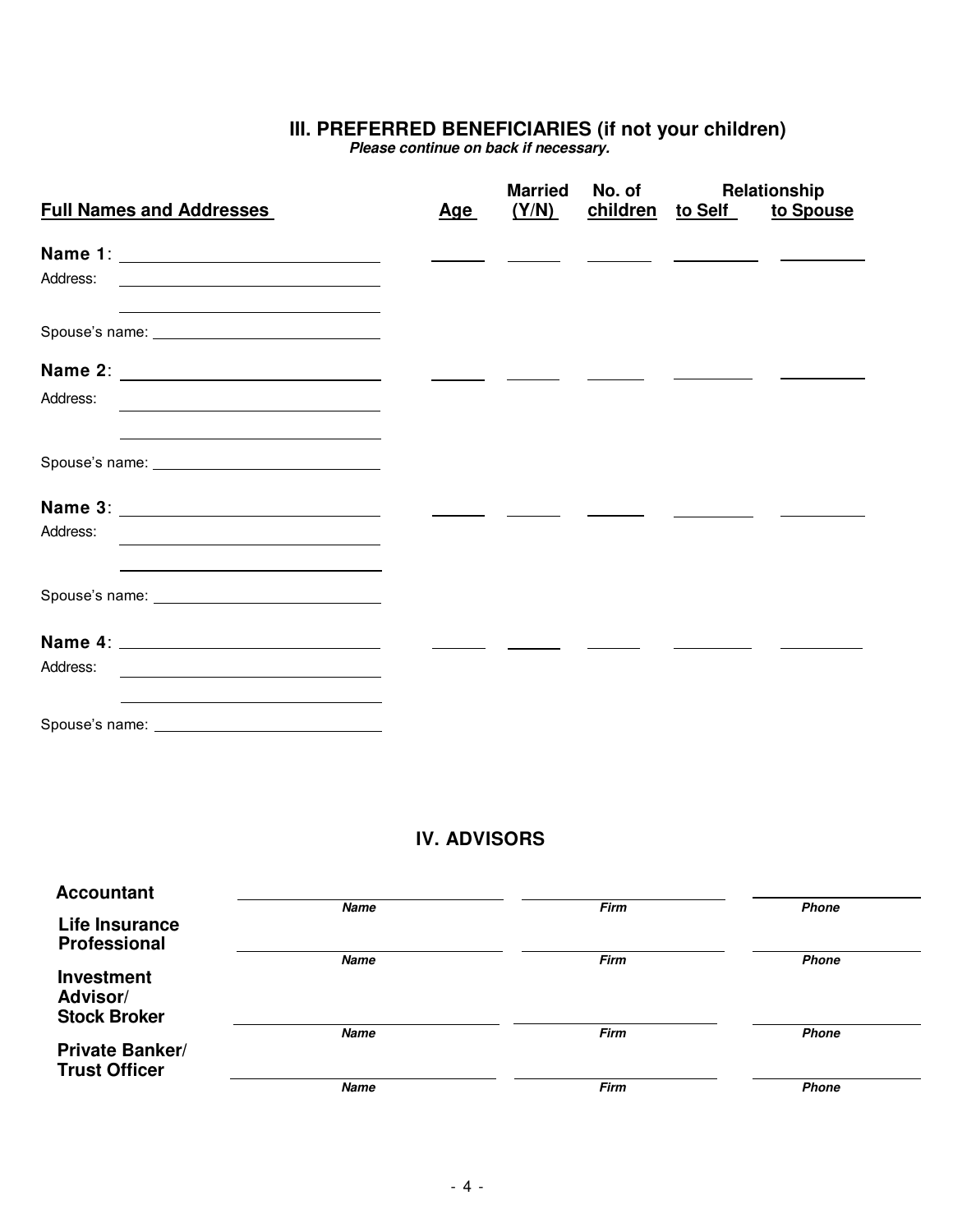## **III. PREFERRED BENEFICIARIES (if not your children)**

 *Please continue on back if necessary.* 

| <b>Full Names and Addresses</b>                                                                                                                                                                                               | <u>Age</u> | <b>Married</b><br>(Y/N) | No. of | children to Self | Relationship<br>to Spouse |
|-------------------------------------------------------------------------------------------------------------------------------------------------------------------------------------------------------------------------------|------------|-------------------------|--------|------------------|---------------------------|
|                                                                                                                                                                                                                               |            |                         |        |                  |                           |
| Address:<br><u> 1989 - Johann Stoff, fransk politik (d. 1989)</u>                                                                                                                                                             |            |                         |        |                  |                           |
|                                                                                                                                                                                                                               |            |                         |        |                  |                           |
|                                                                                                                                                                                                                               |            |                         |        |                  |                           |
| Address:                                                                                                                                                                                                                      |            |                         |        |                  |                           |
|                                                                                                                                                                                                                               |            |                         |        |                  |                           |
|                                                                                                                                                                                                                               |            |                         |        |                  |                           |
| Address:<br><u> 1989 - Johann Stein, marwolaethau a bhann an t-Albann an t-Albann an t-Albann an t-Albann an t-Albann an t-Alb</u>                                                                                            |            |                         |        |                  |                           |
|                                                                                                                                                                                                                               |            |                         |        |                  |                           |
|                                                                                                                                                                                                                               |            |                         |        |                  |                           |
| Address:<br><u> 1980 - Johann Barbara, martin amerikan basal dan berasal dalam basal dalam basal dalam basal dalam basal dala</u>                                                                                             |            |                         |        |                  |                           |
| the control of the control of the control of the control of the control of the control of the control of the control of the control of the control of the control of the control of the control of the control of the control |            |                         |        |                  |                           |

## **IV. ADVISORS**

| <b>Accountant</b>      |             |             |              |  |
|------------------------|-------------|-------------|--------------|--|
|                        | <b>Name</b> | <b>Firm</b> | <b>Phone</b> |  |
| Life Insurance         |             |             |              |  |
| Professional           |             |             |              |  |
|                        | <b>Name</b> | <b>Firm</b> | <b>Phone</b> |  |
|                        |             |             |              |  |
| <b>Investment</b>      |             |             |              |  |
| Advisor/               |             |             |              |  |
|                        |             |             |              |  |
| <b>Stock Broker</b>    |             |             |              |  |
|                        | <b>Name</b> | <b>Firm</b> | <b>Phone</b> |  |
| <b>Private Banker/</b> |             |             |              |  |
|                        |             |             |              |  |
| <b>Trust Officer</b>   |             |             |              |  |
|                        | <b>Name</b> | <b>Firm</b> | <b>Phone</b> |  |
|                        |             |             |              |  |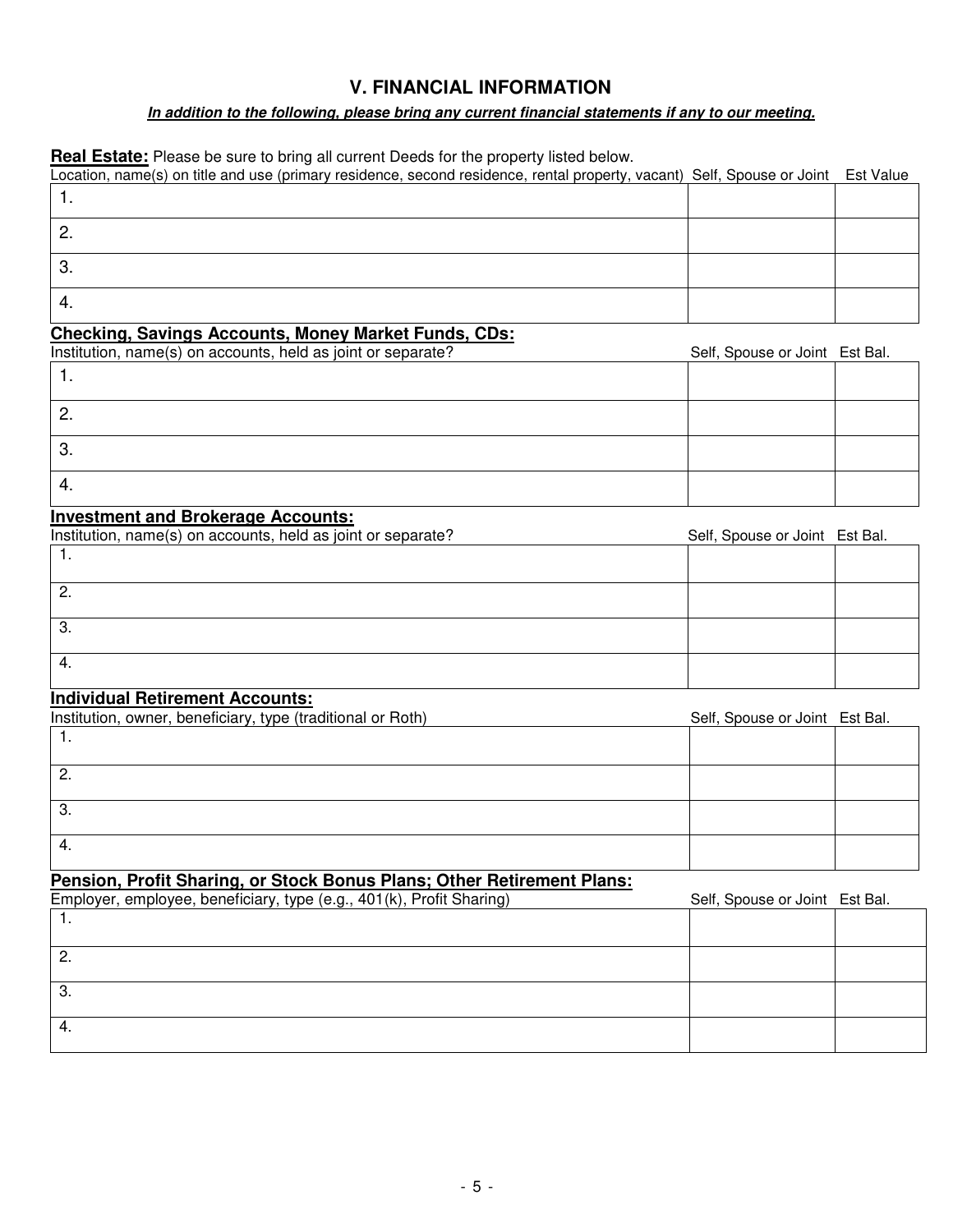### **V. FINANCIAL INFORMATION**

#### *In addition to the following, please bring any current financial statements if any to our meeting.*

**Real Estate:** Please be sure to bring all current Deeds for the property listed below.

| Location, name(s) on title and use (primary residence, second residence, rental property, vacant) Self, Spouse or Joint Est Value |  |
|-----------------------------------------------------------------------------------------------------------------------------------|--|
|                                                                                                                                   |  |
|                                                                                                                                   |  |
| 3.                                                                                                                                |  |
|                                                                                                                                   |  |

## **Checking, Savings Accounts, Money Market Funds, CDs:**

| Institution, name(s) on accounts, held as joint or separate? | Self, Spouse or Joint Est Bal. |  |
|--------------------------------------------------------------|--------------------------------|--|
|                                                              |                                |  |
| <u>.</u>                                                     |                                |  |
| З.                                                           |                                |  |
| 4.                                                           |                                |  |

#### **Investment and Brokerage Accounts:**

| Institution, name(s) on accounts, held as joint or separate? | Self, Spouse or Joint Est Bal. |  |
|--------------------------------------------------------------|--------------------------------|--|
| .                                                            |                                |  |
|                                                              |                                |  |
| 2.                                                           |                                |  |
|                                                              |                                |  |
| 3.                                                           |                                |  |
|                                                              |                                |  |
| 4.                                                           |                                |  |
|                                                              |                                |  |

#### **Individual Retirement Accounts:**

| Institution, owner, beneficiary, type (traditional or Roth) | Self, Spouse or Joint Est Bal. |  |
|-------------------------------------------------------------|--------------------------------|--|
|                                                             |                                |  |
| -2.                                                         |                                |  |
| -3.                                                         |                                |  |
| 4.                                                          |                                |  |

#### **Pension, Profit Sharing, or Stock Bonus Plans; Other Retirement Plans:**

| Employer, employee, beneficiary, type (e.g., 401(k), Profit Sharing) | Self, Spouse or Joint Est Bal. |  |
|----------------------------------------------------------------------|--------------------------------|--|
|                                                                      |                                |  |
|                                                                      |                                |  |
| <u>.</u>                                                             |                                |  |
|                                                                      |                                |  |
| .ت                                                                   |                                |  |
|                                                                      |                                |  |
| 4.                                                                   |                                |  |
|                                                                      |                                |  |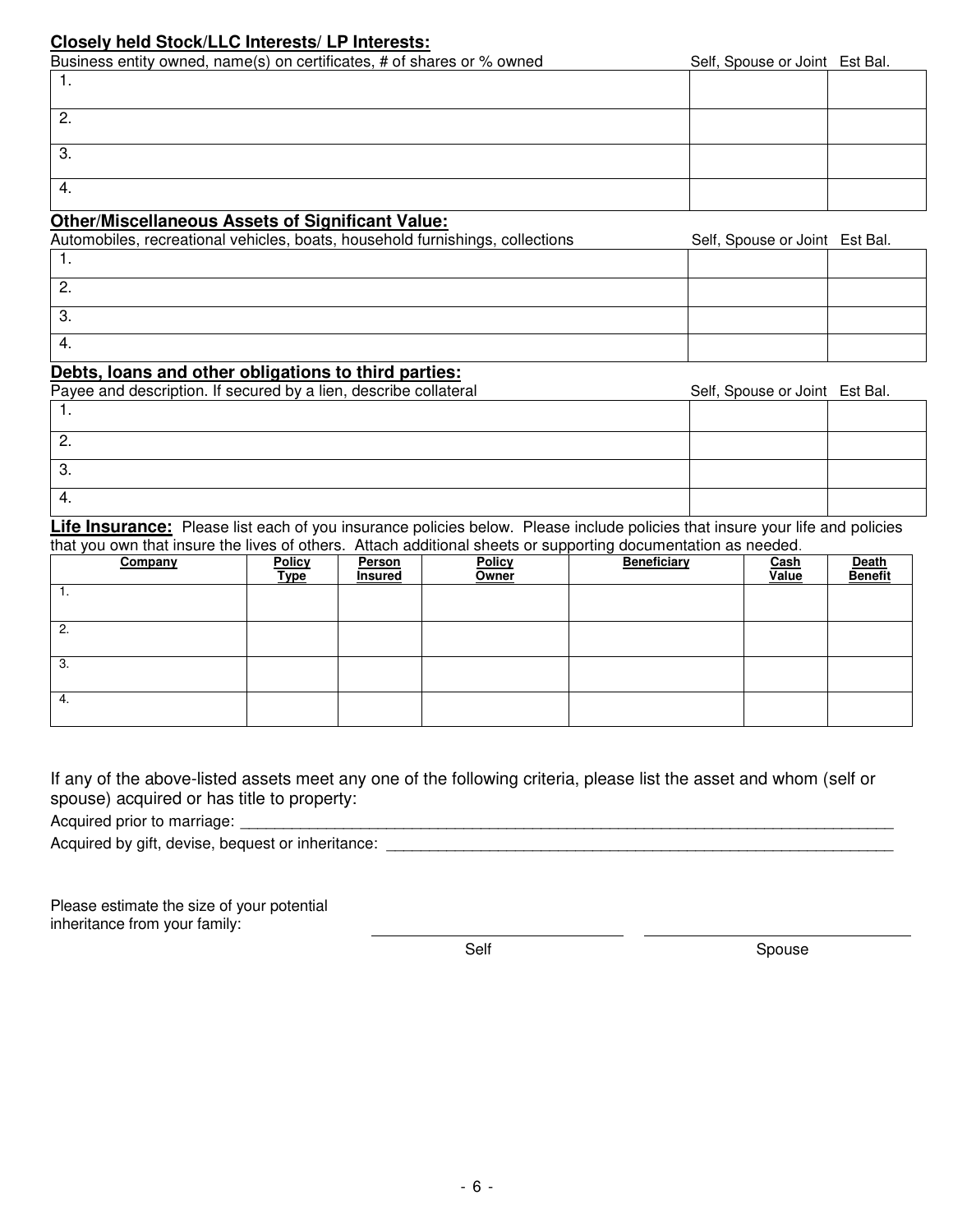#### **Closely held Stock/LLC Interests/ LP Interests:**

Business entity owned, name(s) on certificates, # of shares or % owned Self, Spouse or Joint Est Bal.

| $-$ additional distribution of $\mathcal{O}_f$ and determinant $\mathcal{O}_f$ in the distribution of $\mathcal{O}_f$ |  |
|-----------------------------------------------------------------------------------------------------------------------|--|
| .                                                                                                                     |  |
| <u>.</u>                                                                                                              |  |
| c<br>ູບ.                                                                                                              |  |
| 4.                                                                                                                    |  |

#### **Other/Miscellaneous Assets of Significant Value:**

| Automobiles, recreational vehicles, boats, household furnishings, collections | Self, Spouse or Joint Est Bal. |  |
|-------------------------------------------------------------------------------|--------------------------------|--|
|                                                                               |                                |  |
| <u>.</u>                                                                      |                                |  |
|                                                                               |                                |  |
|                                                                               |                                |  |

#### **Debts, loans and other obligations to third parties:**

| Payee and description. If secured by a lien, describe collateral | Self, Spouse or Joint Est Bal. |  |
|------------------------------------------------------------------|--------------------------------|--|
|                                                                  |                                |  |
| <u>.</u>                                                         |                                |  |
| ು.                                                               |                                |  |
| 4.                                                               |                                |  |

Life Insurance: Please list each of you insurance policies below. Please include policies that insure your life and policies that you own that insure the lives of others. Attach additional sheets or supporting documentation as needed.

| Company  | <b>Policy</b><br><u>Type</u> | Person<br>Insured | . .<br><b>Policy</b><br>Owner | Beneficiary | Cash<br>Value | Death<br><b>Benefit</b> |
|----------|------------------------------|-------------------|-------------------------------|-------------|---------------|-------------------------|
| . .      |                              |                   |                               |             |               |                         |
| <u>.</u> |                              |                   |                               |             |               |                         |
| - 3.     |                              |                   |                               |             |               |                         |
| 4.       |                              |                   |                               |             |               |                         |

If any of the above-listed assets meet any one of the following criteria, please list the asset and whom (self or spouse) acquired or has title to property:

Acquired prior to marriage: \_\_\_\_\_\_\_\_\_\_\_\_\_\_\_\_\_\_\_\_\_\_\_\_\_\_\_\_\_\_\_\_\_\_\_\_\_\_\_\_\_\_\_\_\_\_\_\_\_\_\_\_\_\_\_\_\_\_\_\_\_\_\_\_\_\_\_\_\_\_\_\_\_\_\_\_

| Acquired by gift, devise, bequest or inheritance: |  |
|---------------------------------------------------|--|
|                                                   |  |

Please estimate the size of your potential inheritance from your family:

Self Spouse Spouse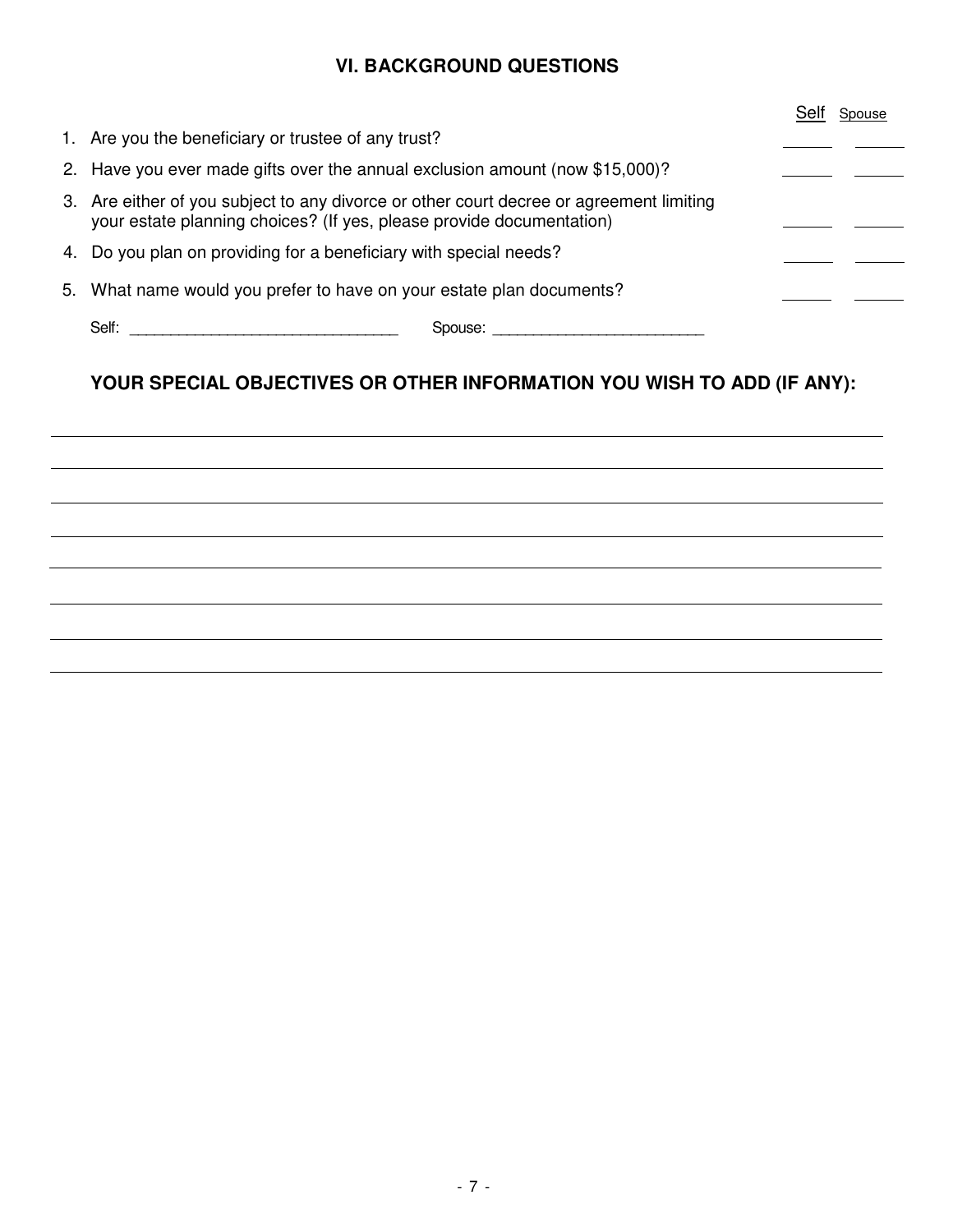## **VI. BACKGROUND QUESTIONS**

|    |                                                                                                                                                                 |  | Spouse |
|----|-----------------------------------------------------------------------------------------------------------------------------------------------------------------|--|--------|
|    | 1. Are you the beneficiary or trustee of any trust?                                                                                                             |  |        |
|    | 2. Have you ever made gifts over the annual exclusion amount (now \$15,000)?                                                                                    |  |        |
|    | 3. Are either of you subject to any divorce or other court decree or agreement limiting<br>your estate planning choices? (If yes, please provide documentation) |  |        |
|    | 4. Do you plan on providing for a beneficiary with special needs?                                                                                               |  |        |
| 5. | What name would you prefer to have on your estate plan documents?                                                                                               |  |        |
|    | Self:<br>Spouse:                                                                                                                                                |  |        |

## **YOUR SPECIAL OBJECTIVES OR OTHER INFORMATION YOU WISH TO ADD (IF ANY):**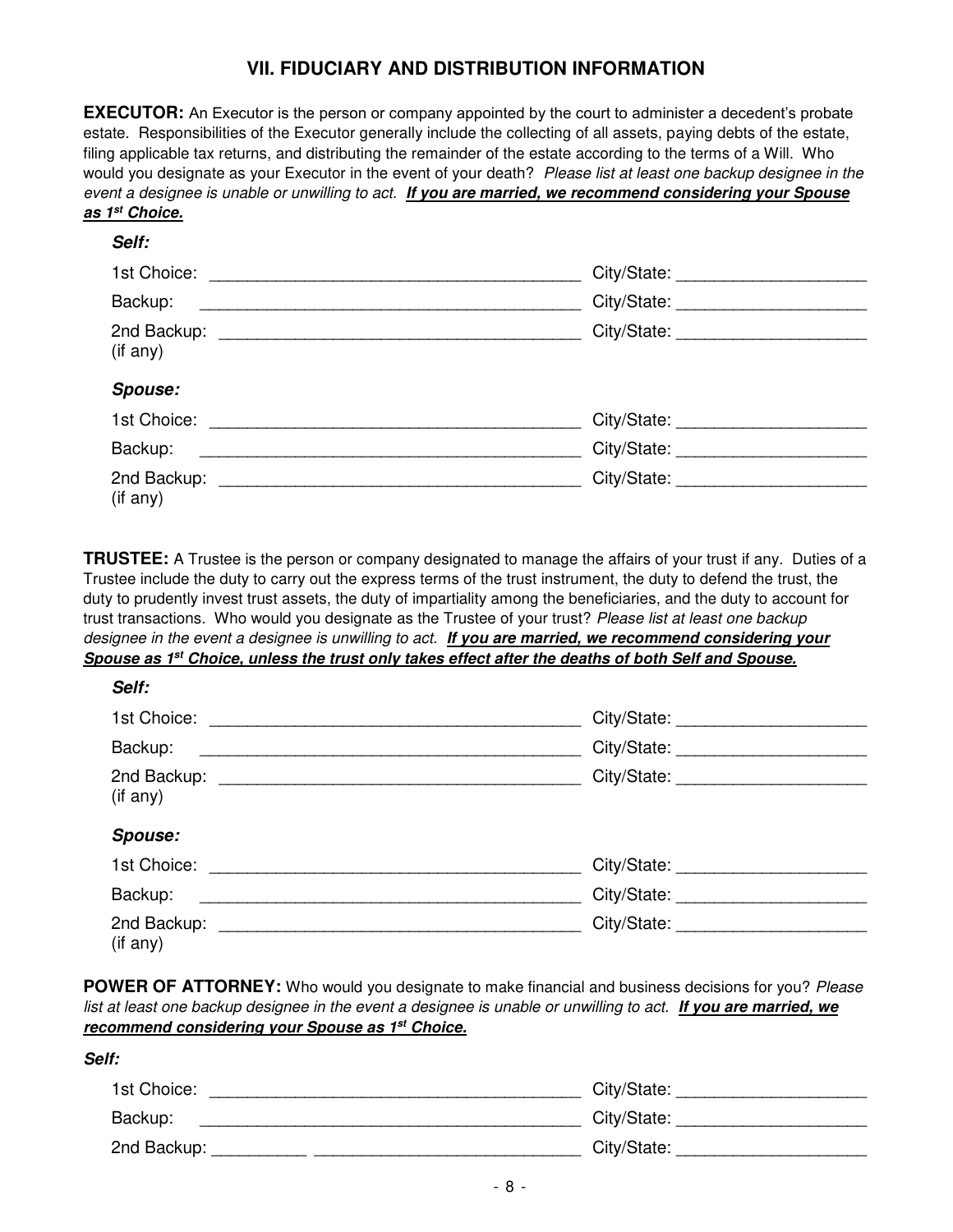## **VII. FIDUCIARY AND DISTRIBUTION INFORMATION**

**EXECUTOR:** An Executor is the person or company appointed by the court to administer a decedent's probate estate. Responsibilities of the Executor generally include the collecting of all assets, paying debts of the estate, filing applicable tax returns, and distributing the remainder of the estate according to the terms of a Will. Who would you designate as your Executor in the event of your death? Please list at least one backup designee in the event a designee is unable or unwilling to act. *If you are married, we recommend considering your Spouse as 1st Choice.*

#### *Self:*

| Backup:                             |                             |
|-------------------------------------|-----------------------------|
| (if any)                            | City/State: _______________ |
| <b>Spouse:</b>                      |                             |
| 1st Choice:                         | City/State: ____________    |
| Backup:                             | City/State:                 |
| 2nd Backup: 2nd Backup:<br>(if any) | City/State: _____________   |

**TRUSTEE:** A Trustee is the person or company designated to manage the affairs of your trust if any. Duties of a Trustee include the duty to carry out the express terms of the trust instrument, the duty to defend the trust, the duty to prudently invest trust assets, the duty of impartiality among the beneficiaries, and the duty to account for trust transactions. Who would you designate as the Trustee of your trust? Please list at least one backup designee in the event a designee is unwilling to act. *If you are married, we recommend considering your Spouse as 1st Choice, unless the trust only takes effect after the deaths of both Self and Spouse.* 

| Self:                   |                                    |
|-------------------------|------------------------------------|
|                         | City/State: ________________       |
| Backup:                 | City/State:                        |
| 2nd Backup:<br>(if any) | City/State:                        |
| <b>Spouse:</b>          |                                    |
| 1st Choice:             | City/State: ______________________ |
| Backup:                 | City/State:                        |
| 2nd Backup:<br>(if any) | City/State:                        |

**POWER OF ATTORNEY:** Who would you designate to make financial and business decisions for you? Please list at least one backup designee in the event a designee is unable or unwilling to act. *If you are married, we recommend considering your Spouse as 1st Choice.*

| ۰.<br>۰. |
|----------|
|          |

| 1st Choice: | City/State: |
|-------------|-------------|
| Backup:     | City/State: |
| 2nd Backup: | City/State: |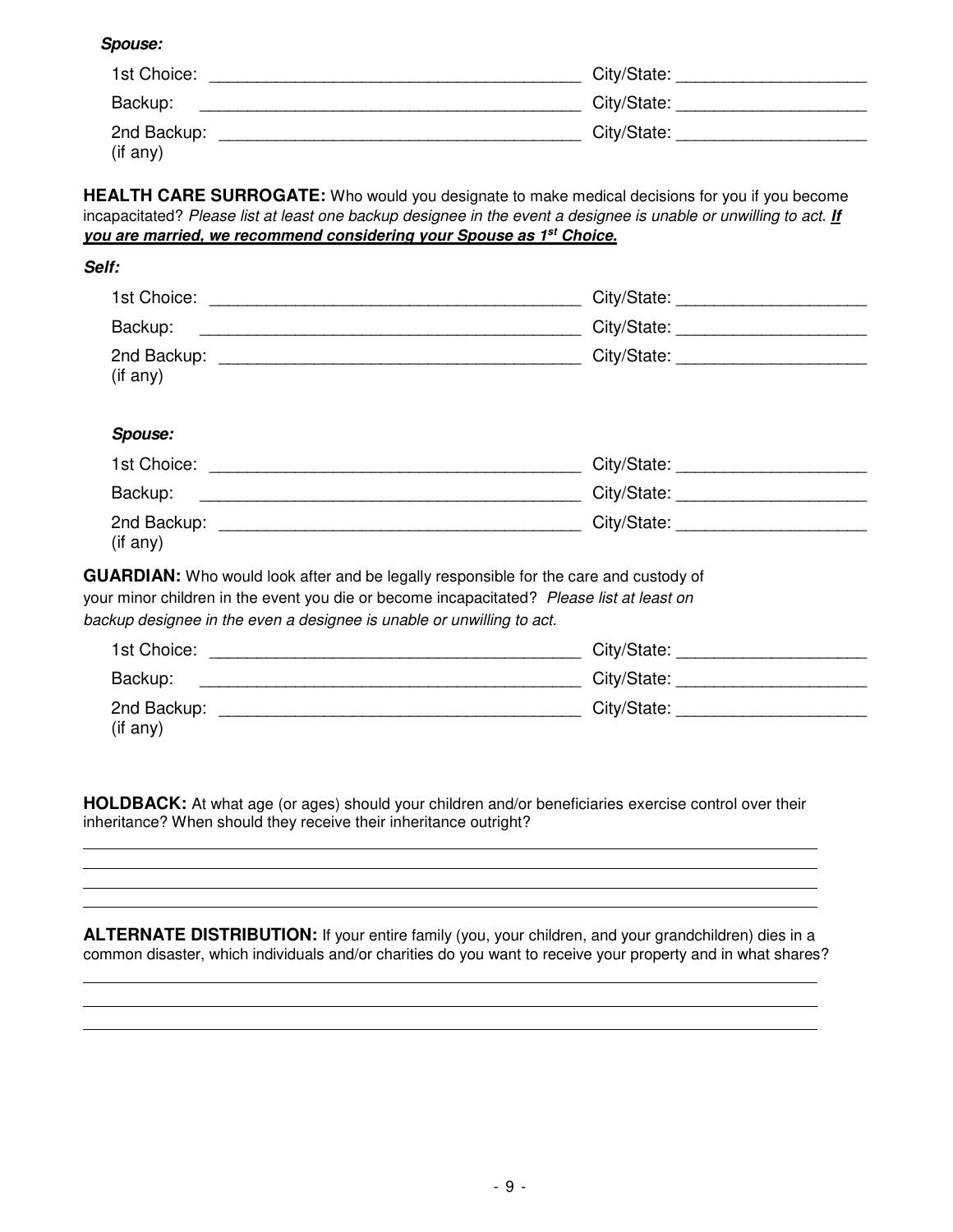*Spouse:* 

| 1st Choice: | City/State: |
|-------------|-------------|
| Backup:     | City/State: |
| 2nd Backup: | City/State: |
| (if any)    |             |

**HEALTH CARE SURROGATE:** Who would you designate to make medical decisions for you if you become incapacitated? Please list at least one backup designee in the event a designee is unable or unwilling to act. *If you are married, we recommend considering your Spouse as 1st Choice.*

| Self:                                                                                                                                                                                                                                                              |  |
|--------------------------------------------------------------------------------------------------------------------------------------------------------------------------------------------------------------------------------------------------------------------|--|
| 1st Choice:                                                                                                                                                                                                                                                        |  |
| Backup:<br><u> 1989 - Johann Stoff, amerikansk politiker (d. 1989)</u>                                                                                                                                                                                             |  |
| (if any)                                                                                                                                                                                                                                                           |  |
| <b>Spouse:</b>                                                                                                                                                                                                                                                     |  |
|                                                                                                                                                                                                                                                                    |  |
| Backup:<br><u> 2008 - Johann Stoff, amerikansk politiker (d. 1982)</u>                                                                                                                                                                                             |  |
| (if any)                                                                                                                                                                                                                                                           |  |
| <b>GUARDIAN:</b> Who would look after and be legally responsible for the care and custody of<br>your minor children in the event you die or become incapacitated? Please list at least on<br>backup designee in the even a designee is unable or unwilling to act. |  |
| 1st Choice:                                                                                                                                                                                                                                                        |  |
| Backup:                                                                                                                                                                                                                                                            |  |
| (if any)                                                                                                                                                                                                                                                           |  |

**HOLDBACK:** At what age (or ages) should your children and/or beneficiaries exercise control over their inheritance? When should they receive their inheritance outright?

**ALTERNATE DISTRIBUTION:** If your entire family (you, your children, and your grandchildren) dies in a common disaster, which individuals and/or charities do you want to receive your property and in what shares?